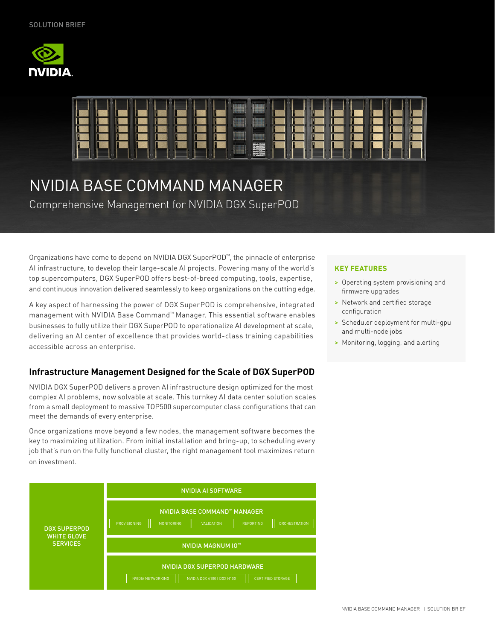



# NVIDIA BASE COMMAND MANAGER

Comprehensive Management for NVIDIA DGX SuperPOD

Organizations have come to depend on NVIDIA DGX SuperPOD™, the pinnacle of enterprise AI infrastructure, to develop their large-scale AI projects. Powering many of the world's top supercomputers, DGX SuperPOD offers best-of-breed computing, tools, expertise, and continuous innovation delivered seamlessly to keep organizations on the cutting edge.

A key aspect of harnessing the power of DGX SuperPOD is comprehensive, integrated management with NVIDIA Base Command™ Manager. This essential software enables businesses to fully utilize their DGX SuperPOD to operationalize AI development at scale, delivering an AI center of excellence that provides world-class training capabilities accessible across an enterprise.

## **Infrastructure Management Designed for the Scale of DGX SuperPOD**

NVIDIA DGX SuperPOD delivers a proven AI infrastructure design optimized for the most complex AI problems, now solvable at scale. This turnkey AI data center solution scales from a small deployment to massive TOP500 supercomputer class configurations that can meet the demands of every enterprise.

Once organizations move beyond a few nodes, the management software becomes the key to maximizing utilization. From initial installation and bring-up, to scheduling every job that's run on the fully functional cluster, the right management tool maximizes return on investment.



#### **KEY FEATURES**

- > Operating system provisioning and firmware upgrades
- > Network and certified storage configuration
- > Scheduler deployment for multi-gpu and multi-node jobs
- > Monitoring, logging, and alerting